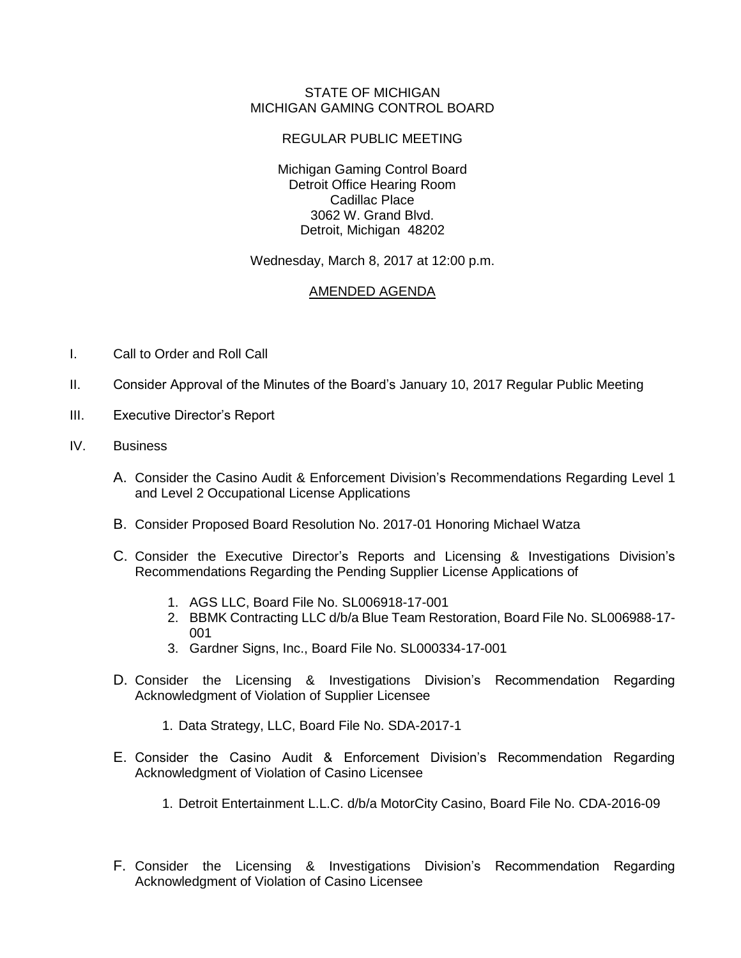## STATE OF MICHIGAN MICHIGAN GAMING CONTROL BOARD

## REGULAR PUBLIC MEETING

Michigan Gaming Control Board Detroit Office Hearing Room Cadillac Place 3062 W. Grand Blvd. Detroit, Michigan 48202

Wednesday, March 8, 2017 at 12:00 p.m.

## AMENDED AGENDA

- I. Call to Order and Roll Call
- II. Consider Approval of the Minutes of the Board's January 10, 2017 Regular Public Meeting
- III. Executive Director's Report
- IV. Business
	- A. Consider the Casino Audit & Enforcement Division's Recommendations Regarding Level 1 and Level 2 Occupational License Applications
	- B. Consider Proposed Board Resolution No. 2017-01 Honoring Michael Watza
	- C. Consider the Executive Director's Reports and Licensing & Investigations Division's Recommendations Regarding the Pending Supplier License Applications of
		- 1. AGS LLC, Board File No. SL006918-17-001
		- 2. BBMK Contracting LLC d/b/a Blue Team Restoration, Board File No. SL006988-17- 001
		- 3. Gardner Signs, Inc., Board File No. SL000334-17-001
	- D. Consider the Licensing & Investigations Division's Recommendation Regarding Acknowledgment of Violation of Supplier Licensee
		- 1. Data Strategy, LLC, Board File No. SDA-2017-1
	- E. Consider the Casino Audit & Enforcement Division's Recommendation Regarding Acknowledgment of Violation of Casino Licensee
		- 1. Detroit Entertainment L.L.C. d/b/a MotorCity Casino, Board File No. CDA-2016-09
	- F. Consider the Licensing & Investigations Division's Recommendation Regarding Acknowledgment of Violation of Casino Licensee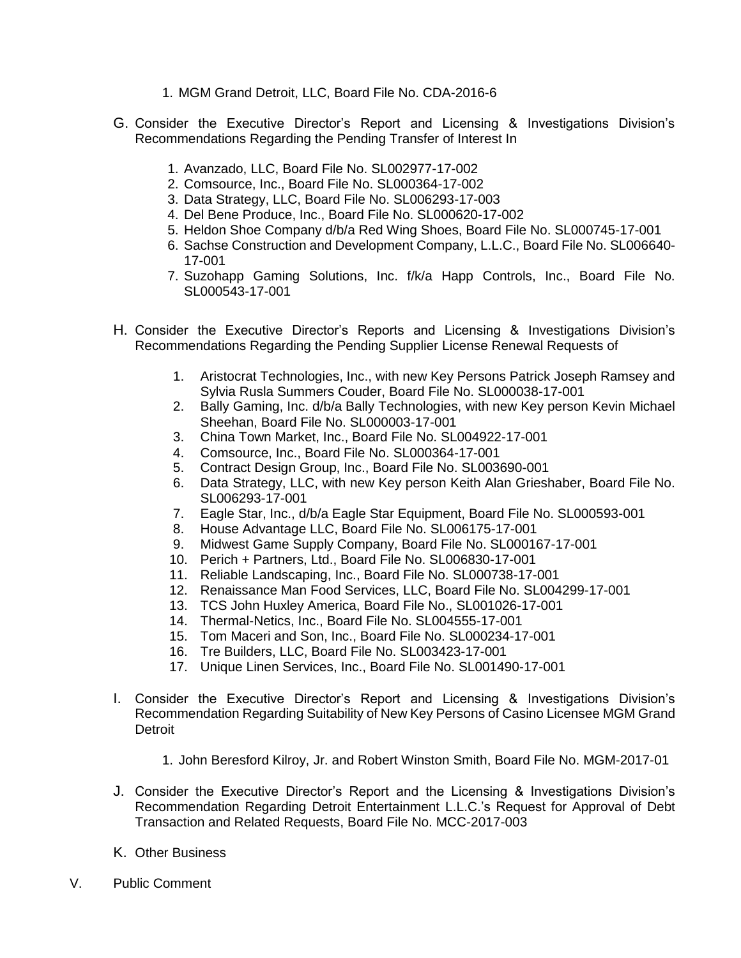- 1. MGM Grand Detroit, LLC, Board File No. CDA-2016-6
- G. Consider the Executive Director's Report and Licensing & Investigations Division's Recommendations Regarding the Pending Transfer of Interest In
	- 1. Avanzado, LLC, Board File No. SL002977-17-002
	- 2. Comsource, Inc., Board File No. SL000364-17-002
	- 3. Data Strategy, LLC, Board File No. SL006293-17-003
	- 4. Del Bene Produce, Inc., Board File No. SL000620-17-002
	- 5. Heldon Shoe Company d/b/a Red Wing Shoes, Board File No. SL000745-17-001
	- 6. Sachse Construction and Development Company, L.L.C., Board File No. SL006640- 17-001
	- 7. Suzohapp Gaming Solutions, Inc. f/k/a Happ Controls, Inc., Board File No. SL000543-17-001
- H. Consider the Executive Director's Reports and Licensing & Investigations Division's Recommendations Regarding the Pending Supplier License Renewal Requests of
	- 1. Aristocrat Technologies, Inc., with new Key Persons Patrick Joseph Ramsey and Sylvia Rusla Summers Couder, Board File No. SL000038-17-001
	- 2. Bally Gaming, Inc. d/b/a Bally Technologies, with new Key person Kevin Michael Sheehan, Board File No. SL000003-17-001
	- 3. China Town Market, Inc., Board File No. SL004922-17-001
	- 4. Comsource, Inc., Board File No. SL000364-17-001
	- 5. Contract Design Group, Inc., Board File No. SL003690-001
	- 6. Data Strategy, LLC, with new Key person Keith Alan Grieshaber, Board File No. SL006293-17-001
	- 7. Eagle Star, Inc., d/b/a Eagle Star Equipment, Board File No. SL000593-001
	- 8. House Advantage LLC, Board File No. SL006175-17-001
	- 9. Midwest Game Supply Company, Board File No. SL000167-17-001
	- 10. Perich + Partners, Ltd., Board File No. SL006830-17-001
	- 11. Reliable Landscaping, Inc., Board File No. SL000738-17-001
	- 12. Renaissance Man Food Services, LLC, Board File No. SL004299-17-001
	- 13. TCS John Huxley America, Board File No., SL001026-17-001
	- 14. Thermal-Netics, Inc., Board File No. SL004555-17-001
	- 15. Tom Maceri and Son, Inc., Board File No. SL000234-17-001
	- 16. Tre Builders, LLC, Board File No. SL003423-17-001
	- 17. Unique Linen Services, Inc., Board File No. SL001490-17-001
- I. Consider the Executive Director's Report and Licensing & Investigations Division's Recommendation Regarding Suitability of New Key Persons of Casino Licensee MGM Grand Detroit
	- 1. John Beresford Kilroy, Jr. and Robert Winston Smith, Board File No. MGM-2017-01
- J. Consider the Executive Director's Report and the Licensing & Investigations Division's Recommendation Regarding Detroit Entertainment L.L.C.'s Request for Approval of Debt Transaction and Related Requests, Board File No. MCC-2017-003
- K. Other Business
- V. Public Comment